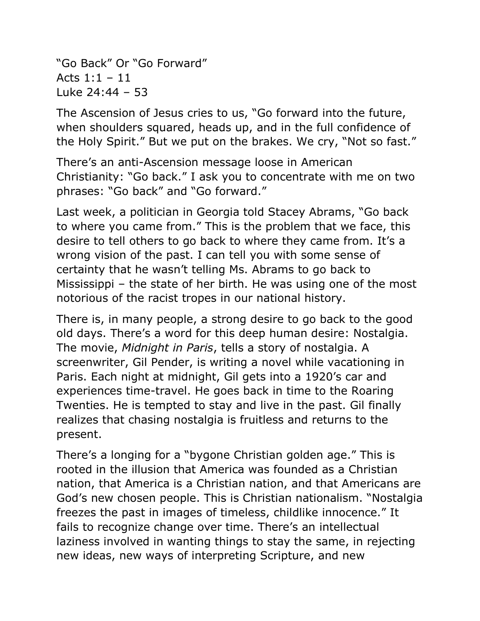"Go Back" Or "Go Forward" Acts 1:1 – 11 Luke 24:44 – 53

The Ascension of Jesus cries to us, "Go forward into the future, when shoulders squared, heads up, and in the full confidence of the Holy Spirit." But we put on the brakes. We cry, "Not so fast."

There's an anti-Ascension message loose in American Christianity: "Go back." I ask you to concentrate with me on two phrases: "Go back" and "Go forward."

Last week, a politician in Georgia told Stacey Abrams, "Go back to where you came from." This is the problem that we face, this desire to tell others to go back to where they came from. It's a wrong vision of the past. I can tell you with some sense of certainty that he wasn't telling Ms. Abrams to go back to Mississippi – the state of her birth. He was using one of the most notorious of the racist tropes in our national history.

There is, in many people, a strong desire to go back to the good old days. There's a word for this deep human desire: Nostalgia. The movie, *Midnight in Paris*, tells a story of nostalgia. A screenwriter, Gil Pender, is writing a novel while vacationing in Paris. Each night at midnight, Gil gets into a 1920's car and experiences time-travel. He goes back in time to the Roaring Twenties. He is tempted to stay and live in the past. Gil finally realizes that chasing nostalgia is fruitless and returns to the present.

There's a longing for a "bygone Christian golden age." This is rooted in the illusion that America was founded as a Christian nation, that America is a Christian nation, and that Americans are God's new chosen people. This is Christian nationalism. "Nostalgia freezes the past in images of timeless, childlike innocence." It fails to recognize change over time. There's an intellectual laziness involved in wanting things to stay the same, in rejecting new ideas, new ways of interpreting Scripture, and new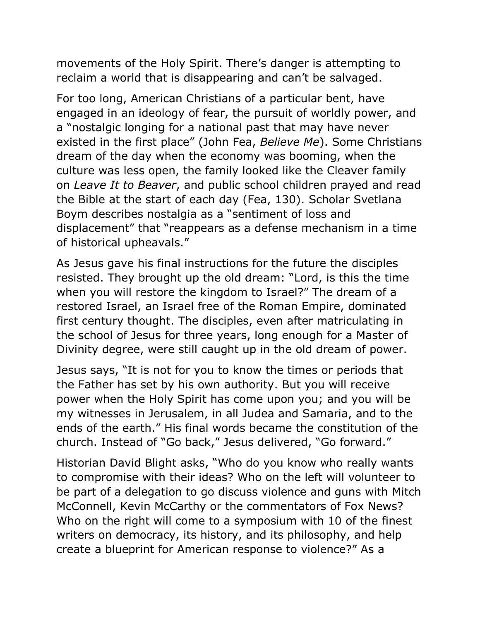movements of the Holy Spirit. There's danger is attempting to reclaim a world that is disappearing and can't be salvaged.

For too long, American Christians of a particular bent, have engaged in an ideology of fear, the pursuit of worldly power, and a "nostalgic longing for a national past that may have never existed in the first place" (John Fea, *Believe Me*). Some Christians dream of the day when the economy was booming, when the culture was less open, the family looked like the Cleaver family on *Leave It to Beaver*, and public school children prayed and read the Bible at the start of each day (Fea, 130). Scholar Svetlana Boym describes nostalgia as a "sentiment of loss and displacement" that "reappears as a defense mechanism in a time of historical upheavals."

As Jesus gave his final instructions for the future the disciples resisted. They brought up the old dream: "Lord, is this the time when you will restore the kingdom to Israel?" The dream of a restored Israel, an Israel free of the Roman Empire, dominated first century thought. The disciples, even after matriculating in the school of Jesus for three years, long enough for a Master of Divinity degree, were still caught up in the old dream of power.

Jesus says, "It is not for you to know the times or periods that the Father has set by his own authority. But you will receive power when the Holy Spirit has come upon you; and you will be my witnesses in Jerusalem, in all Judea and Samaria, and to the ends of the earth." His final words became the constitution of the church. Instead of "Go back," Jesus delivered, "Go forward."

Historian David Blight asks, "Who do you know who really wants to compromise with their ideas? Who on the left will volunteer to be part of a delegation to go discuss violence and guns with Mitch McConnell, Kevin McCarthy or the commentators of Fox News? Who on the right will come to a symposium with 10 of the finest writers on democracy, its history, and its philosophy, and help create a blueprint for American response to violence?" As a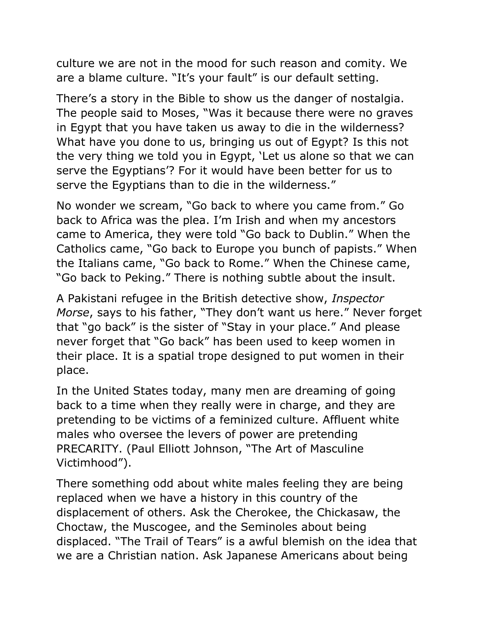culture we are not in the mood for such reason and comity. We are a blame culture. "It's your fault" is our default setting.

There's a story in the Bible to show us the danger of nostalgia. The people said to Moses, "Was it because there were no graves in Egypt that you have taken us away to die in the wilderness? What have you done to us, bringing us out of Egypt? Is this not the very thing we told you in Egypt, 'Let us alone so that we can serve the Egyptians'? For it would have been better for us to serve the Egyptians than to die in the wilderness."

No wonder we scream, "Go back to where you came from." Go back to Africa was the plea. I'm Irish and when my ancestors came to America, they were told "Go back to Dublin." When the Catholics came, "Go back to Europe you bunch of papists." When the Italians came, "Go back to Rome." When the Chinese came, "Go back to Peking." There is nothing subtle about the insult.

A Pakistani refugee in the British detective show, *Inspector Morse*, says to his father, "They don't want us here." Never forget that "go back" is the sister of "Stay in your place." And please never forget that "Go back" has been used to keep women in their place. It is a spatial trope designed to put women in their place.

In the United States today, many men are dreaming of going back to a time when they really were in charge, and they are pretending to be victims of a feminized culture. Affluent white males who oversee the levers of power are pretending PRECARITY. (Paul Elliott Johnson, "The Art of Masculine Victimhood").

There something odd about white males feeling they are being replaced when we have a history in this country of the displacement of others. Ask the Cherokee, the Chickasaw, the Choctaw, the Muscogee, and the Seminoles about being displaced. "The Trail of Tears" is a awful blemish on the idea that we are a Christian nation. Ask Japanese Americans about being